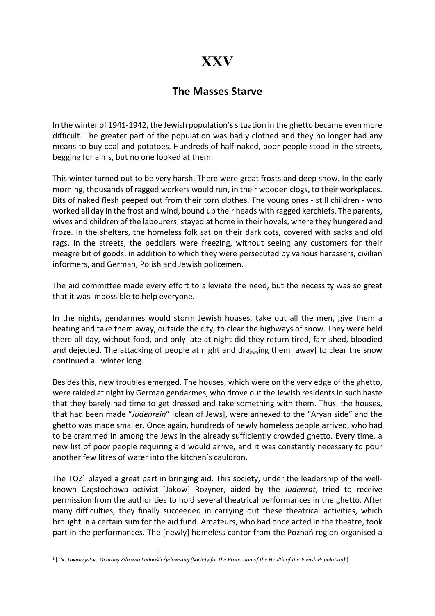## XXV

## The Masses Starve

In the winter of 1941-1942, the Jewish population's situation in the ghetto became even more difficult. The greater part of the population was badly clothed and they no longer had any means to buy coal and potatoes. Hundreds of half-naked, poor people stood in the streets, begging for alms, but no one looked at them.

This winter turned out to be very harsh. There were great frosts and deep snow. In the early morning, thousands of ragged workers would run, in their wooden clogs, to their workplaces. Bits of naked flesh peeped out from their torn clothes. The young ones - still children - who worked all day in the frost and wind, bound up their heads with ragged kerchiefs. The parents, wives and children of the labourers, stayed at home in their hovels, where they hungered and froze. In the shelters, the homeless folk sat on their dark cots, covered with sacks and old rags. In the streets, the peddlers were freezing, without seeing any customers for their meagre bit of goods, in addition to which they were persecuted by various harassers, civilian informers, and German, Polish and Jewish policemen.

The aid committee made every effort to alleviate the need, but the necessity was so great that it was impossible to help everyone.

In the nights, gendarmes would storm Jewish houses, take out all the men, give them a beating and take them away, outside the city, to clear the highways of snow. They were held there all day, without food, and only late at night did they return tired, famished, bloodied and dejected. The attacking of people at night and dragging them [away] to clear the snow continued all winter long.

Besides this, new troubles emerged. The houses, which were on the very edge of the ghetto, were raided at night by German gendarmes, who drove out the Jewish residents in such haste that they barely had time to get dressed and take something with them. Thus, the houses, that had been made "Judenrein" [clean of Jews], were annexed to the "Aryan side" and the ghetto was made smaller. Once again, hundreds of newly homeless people arrived, who had to be crammed in among the Jews in the already sufficiently crowded ghetto. Every time, a new list of poor people requiring aid would arrive, and it was constantly necessary to pour another few litres of water into the kitchen's cauldron.

The TOZ<sup>1</sup> played a great part in bringing aid. This society, under the leadership of the wellknown Częstochowa activist [Jakow] Rozyner, aided by the Judenrat, tried to receive permission from the authorities to hold several theatrical performances in the ghetto. After many difficulties, they finally succeeded in carrying out these theatrical activities, which brought in a certain sum for the aid fund. Amateurs, who had once acted in the theatre, took part in the performances. The [newly] homeless cantor from the Poznań region organised a

<sup>1</sup> [TN: Towarzystwo Ochrony Zdrowia Ludnośći Żydowskiej (Society for the Protection of the Health of the Jewish Population).]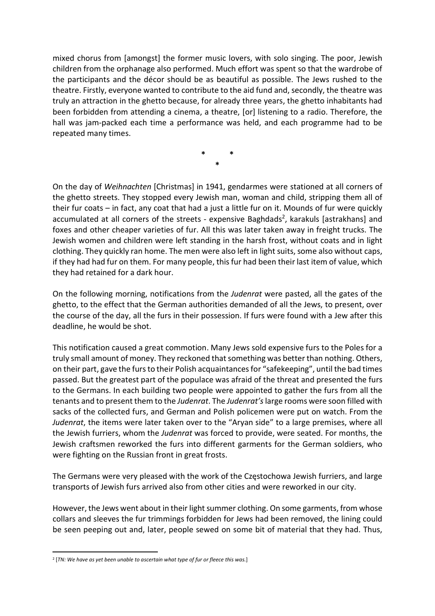mixed chorus from [amongst] the former music lovers, with solo singing. The poor, Jewish children from the orphanage also performed. Much effort was spent so that the wardrobe of the participants and the décor should be as beautiful as possible. The Jews rushed to the theatre. Firstly, everyone wanted to contribute to the aid fund and, secondly, the theatre was truly an attraction in the ghetto because, for already three years, the ghetto inhabitants had been forbidden from attending a cinema, a theatre, [or] listening to a radio. Therefore, the hall was jam-packed each time a performance was held, and each programme had to be repeated many times.

> \* \* \*

On the day of Weihnachten [Christmas] in 1941, gendarmes were stationed at all corners of the ghetto streets. They stopped every Jewish man, woman and child, stripping them all of their fur coats – in fact, any coat that had a just a little fur on it. Mounds of fur were quickly accumulated at all corners of the streets - expensive Baghdads<sup>2</sup>, karakuls [astrakhans] and foxes and other cheaper varieties of fur. All this was later taken away in freight trucks. The Jewish women and children were left standing in the harsh frost, without coats and in light clothing. They quickly ran home. The men were also left in light suits, some also without caps, if they had had fur on them. For many people, this fur had been their last item of value, which they had retained for a dark hour.

On the following morning, notifications from the Judenrat were pasted, all the gates of the ghetto, to the effect that the German authorities demanded of all the Jews, to present, over the course of the day, all the furs in their possession. If furs were found with a Jew after this deadline, he would be shot.

This notification caused a great commotion. Many Jews sold expensive furs to the Poles for a truly small amount of money. They reckoned that something was better than nothing. Others, on their part, gave the furs to their Polish acquaintances for "safekeeping", until the bad times passed. But the greatest part of the populace was afraid of the threat and presented the furs to the Germans. In each building two people were appointed to gather the furs from all the tenants and to present them to the Judenrat. The Judenrat's large rooms were soon filled with sacks of the collected furs, and German and Polish policemen were put on watch. From the Judenrat, the items were later taken over to the "Aryan side" to a large premises, where all the Jewish furriers, whom the Judenrat was forced to provide, were seated. For months, the Jewish craftsmen reworked the furs into different garments for the German soldiers, who were fighting on the Russian front in great frosts.

The Germans were very pleased with the work of the Częstochowa Jewish furriers, and large transports of Jewish furs arrived also from other cities and were reworked in our city.

However, the Jews went about in their light summer clothing. On some garments, from whose collars and sleeves the fur trimmings forbidden for Jews had been removed, the lining could be seen peeping out and, later, people sewed on some bit of material that they had. Thus,

 $2$  [TN: We have as yet been unable to ascertain what type of fur or fleece this was.]